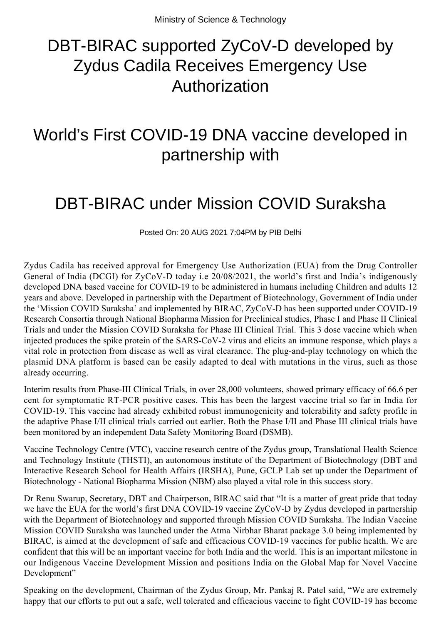# DBT-BIRAC supported ZyCoV-D developed by Zydus Cadila Receives Emergency Use Authorization

## World's First COVID-19 DNA vaccine developed in partnership with

## DBT-BIRAC under Mission COVID Suraksha

Posted On: 20 AUG 2021 7:04PM by PIB Delhi

Zydus Cadila has received approval for Emergency Use Authorization (EUA) from the Drug Controller General of India (DCGI) for ZyCoV-D today i.e 20/08/2021, the world's first and India's indigenously developed DNA based vaccine for COVID-19 to be administered in humans including Children and adults 12 years and above. Developed in partnership with the Department of Biotechnology, Government of India under the 'Mission COVID Suraksha' and implemented by BIRAC, ZyCoV-D has been supported under COVID-19 Research Consortia through National Biopharma Mission for Preclinical studies, Phase I and Phase II Clinical Trials and under the Mission COVID Suraksha for Phase III Clinical Trial. This 3 dose vaccine which when injected produces the spike protein of the SARS-CoV-2 virus and elicits an immune response, which plays a vital role in protection from disease as well as viral clearance. The plug-and-play technology on which the plasmid DNA platform is based can be easily adapted to deal with mutations in the virus, such as those already occurring.

Interim results from Phase-III Clinical Trials, in over 28,000 volunteers, showed primary efficacy of 66.6 per cent for symptomatic RT-PCR positive cases. This has been the largest vaccine trial so far in India for COVID-19. This vaccine had already exhibited robust immunogenicity and tolerability and safety profile in the adaptive Phase I/II clinical trials carried out earlier. Both the Phase I/II and Phase III clinical trials have been monitored by an independent Data Safety Monitoring Board (DSMB).

Vaccine Technology Centre (VTC), vaccine research centre of the Zydus group, Translational Health Science and Technology Institute (THSTI), an autonomous institute of the Department of Biotechnology (DBT and Interactive Research School for Health Affairs (IRSHA), Pune, GCLP Lab set up under the Department of Biotechnology - National Biopharma Mission (NBM) also played a vital role in this success story.

Dr Renu Swarup, Secretary, DBT and Chairperson, BIRAC said that "It is a matter of great pride that today we have the EUA for the world's first DNA COVID-19 vaccine ZyCoV-D by Zydus developed in partnership with the Department of Biotechnology and supported through Mission COVID Suraksha. The Indian Vaccine Mission COVID Suraksha was launched under the Atma Nirbhar Bharat package 3.0 being implemented by BIRAC, is aimed at the development of safe and efficacious COVID-19 vaccines for public health. We are confident that this will be an important vaccine for both India and the world. This is an important milestone in our Indigenous Vaccine Development Mission and positions India on the Global Map for Novel Vaccine Development"

Speaking on the development, Chairman of the Zydus Group, Mr. Pankaj R. Patel said, "We are extremely happy that our efforts to put out a safe, well tolerated and efficacious vaccine to fight COVID-19 has become